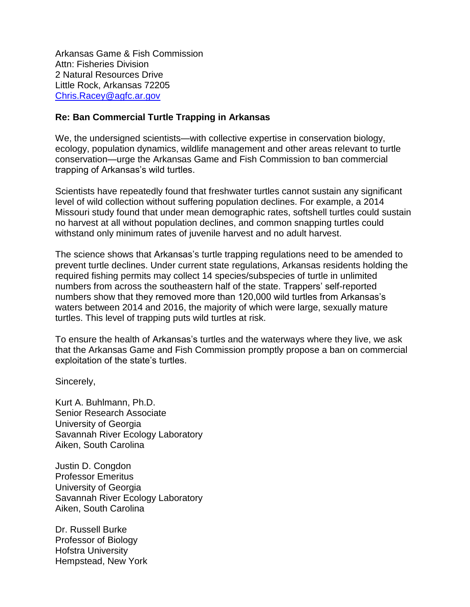Arkansas Game & Fish Commission Attn: Fisheries Division 2 Natural Resources Drive Little Rock, Arkansas 72205 [Chris.Racey@agfc.ar.gov](mailto:Chris.Racey@agfc.ar.gov)

## **Re: Ban Commercial Turtle Trapping in Arkansas**

We, the undersigned scientists—with collective expertise in conservation biology, ecology, population dynamics, wildlife management and other areas relevant to turtle conservation—urge the Arkansas Game and Fish Commission to ban commercial trapping of Arkansas's wild turtles.

Scientists have repeatedly found that freshwater turtles cannot sustain any significant level of wild collection without suffering population declines. For example, a 2014 Missouri study found that under mean demographic rates, softshell turtles could sustain no harvest at all without population declines, and common snapping turtles could withstand only minimum rates of juvenile harvest and no adult harvest.

The science shows that Arkansas's turtle trapping regulations need to be amended to prevent turtle declines. Under current state regulations, Arkansas residents holding the required fishing permits may collect 14 species/subspecies of turtle in unlimited numbers from across the southeastern half of the state. Trappers' self-reported numbers show that they removed more than 120,000 wild turtles from Arkansas's waters between 2014 and 2016, the majority of which were large, sexually mature turtles. This level of trapping puts wild turtles at risk.

To ensure the health of Arkansas's turtles and the waterways where they live, we ask that the Arkansas Game and Fish Commission promptly propose a ban on commercial exploitation of the state's turtles.

Sincerely,

Kurt A. Buhlmann, Ph.D. Senior Research Associate University of Georgia Savannah River Ecology Laboratory Aiken, South Carolina

Justin D. Congdon Professor Emeritus University of Georgia Savannah River Ecology Laboratory Aiken, South Carolina

Dr. Russell Burke Professor of Biology Hofstra University Hempstead, New York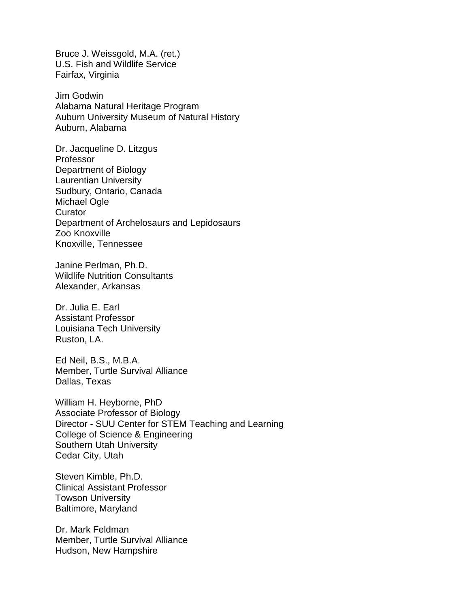Bruce J. Weissgold, M.A. (ret.) U.S. Fish and Wildlife Service Fairfax, Virginia

Jim Godwin Alabama Natural Heritage Program Auburn University Museum of Natural History Auburn, Alabama

Dr. Jacqueline D. Litzgus Professor Department of Biology Laurentian University Sudbury, Ontario, Canada Michael Ogle **Curator** Department of Archelosaurs and Lepidosaurs Zoo Knoxville Knoxville, Tennessee

Janine Perlman, Ph.D. Wildlife Nutrition Consultants Alexander, Arkansas

Dr. Julia E. Earl Assistant Professor Louisiana Tech University Ruston, LA.

Ed Neil, B.S., M.B.A. Member, Turtle Survival Alliance Dallas, Texas

William H. Heyborne, PhD Associate Professor of Biology Director - SUU Center for STEM Teaching and Learning College of Science & Engineering Southern Utah University Cedar City, Utah

Steven Kimble, Ph.D. Clinical Assistant Professor Towson University Baltimore, Maryland

Dr. Mark Feldman Member, Turtle Survival Alliance Hudson, New Hampshire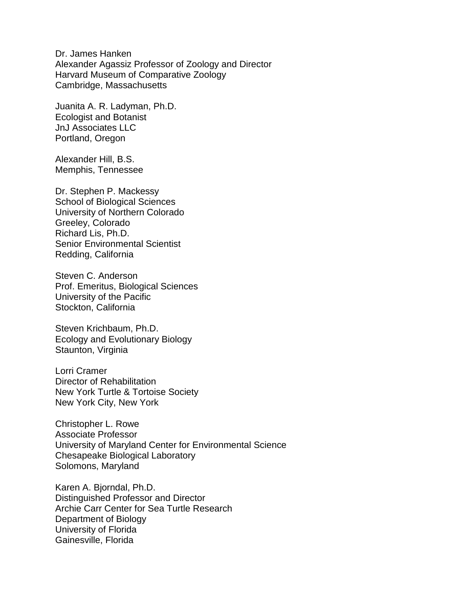Dr. James Hanken Alexander Agassiz Professor of Zoology and Director Harvard Museum of Comparative Zoology Cambridge, Massachusetts

Juanita A. R. Ladyman, Ph.D. Ecologist and Botanist JnJ Associates LLC Portland, Oregon

Alexander Hill, B.S. Memphis, Tennessee

Dr. Stephen P. Mackessy School of Biological Sciences University of Northern Colorado Greeley, Colorado Richard Lis, Ph.D. Senior Environmental Scientist Redding, California

Steven C. Anderson Prof. Emeritus, Biological Sciences University of the Pacific Stockton, California

Steven Krichbaum, Ph.D. Ecology and Evolutionary Biology Staunton, Virginia

Lorri Cramer Director of Rehabilitation New York Turtle & Tortoise Society New York City, New York

Christopher L. Rowe Associate Professor University of Maryland Center for Environmental Science Chesapeake Biological Laboratory Solomons, Maryland

Karen A. Bjorndal, Ph.D. Distinguished Professor and Director Archie Carr Center for Sea Turtle Research Department of Biology University of Florida Gainesville, Florida